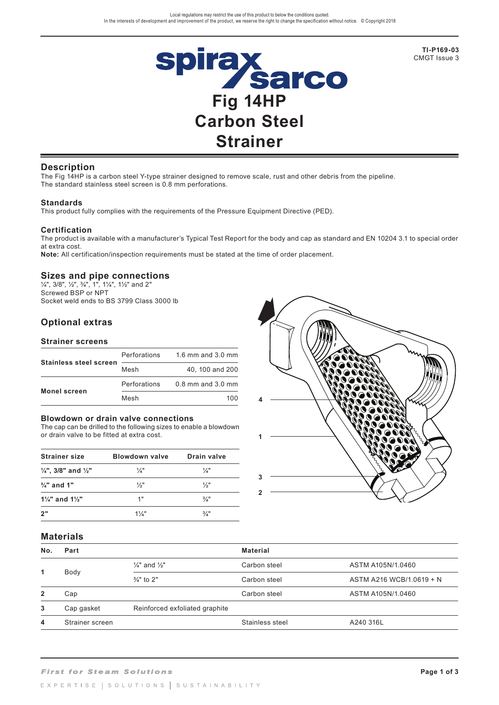

**TI-P169-03**  CMGT Issue 3

### **Description**

The Fig 14HP is a carbon steel Y-type strainer designed to remove scale, rust and other debris from the pipeline. The standard stainless steel screen is 0.8 mm perforations.

### **Standards**

This product fully complies with the requirements of the Pressure Equipment Directive (PED).

### **Certification**

The product is available with a manufacturer's Typical Test Report for the body and cap as standard and EN 10204 3.1 to special order at extra cost.

**Note:** All certification/inspection requirements must be stated at the time of order placement.

### **Sizes and pipe connections**

 $\frac{1}{4}$ , 3/8",  $\frac{1}{2}$ ",  $\frac{3}{4}$ ", 1", 1 $\frac{1}{4}$ ", 1 $\frac{1}{2}$ " and 2" Screwed BSP or NPT Socket weld ends to BS 3799 Class 3000 lb

# **Optional extras**

### **Strainer screens**

|                               | Perforations | 1.6 mm and 3.0 mm     |
|-------------------------------|--------------|-----------------------|
| <b>Stainless steel screen</b> | Mesh         | 40, 100 and 200       |
|                               | Perforations | $0.8$ mm and $3.0$ mm |
| <b>Monel screen</b>           | Mesh         | 100                   |

#### **Blowdown or drain valve connections**

The cap can be drilled to the following sizes to enable a blowdown or drain valve to be fitted at extra cost.

| <b>Strainer size</b>                      | Blowdown valve  | Drain valve     |
|-------------------------------------------|-----------------|-----------------|
| $\frac{1}{4}$ ", 3/8" and $\frac{1}{2}$ " | $\frac{1}{4}$   | $\frac{1}{4}$   |
| $\frac{3}{4}$ " and 1"                    | $\frac{1}{2}$ " | $\frac{1}{2}$ " |
| $1\frac{1}{4}$ and $1\frac{1}{2}$         | 1"              | $\frac{3}{4}$ " |
| 2"                                        | $1\frac{1}{2}$  | $\frac{3}{4}$ " |



### **Materials**

| No.            | Part            |                                     | <b>Material</b> |                          |
|----------------|-----------------|-------------------------------------|-----------------|--------------------------|
|                |                 | $\frac{1}{4}$ " and $\frac{1}{2}$ " | Carbon steel    | ASTM A105N/1.0460        |
| 1              | Body            | $\frac{3}{4}$ " to 2"               | Carbon steel    | ASTM A216 WCB/1.0619 + N |
| $\overline{2}$ | Cap             |                                     | Carbon steel    | ASTM A105N/1.0460        |
| 3              | Cap gasket      | Reinforced exfoliated graphite      |                 |                          |
| 4              | Strainer screen |                                     | Stainless steel | A240 316L                |
|                |                 |                                     |                 |                          |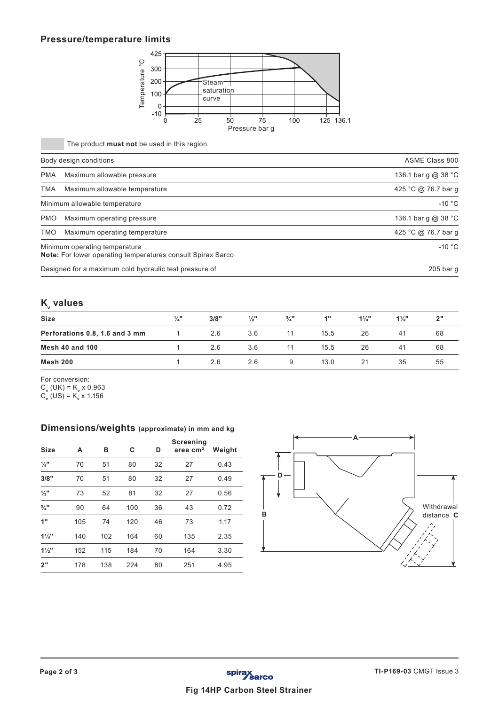## **Pressure/temperature limits**



The product **must not** be used in this region.

|            | Body design conditions                                                                       | ASME Class 800      |
|------------|----------------------------------------------------------------------------------------------|---------------------|
| <b>PMA</b> | Maximum allowable pressure                                                                   | 136.1 bar g @ 38 °C |
| <b>TMA</b> | Maximum allowable temperature                                                                | 425 °C @ 76.7 bar g |
|            | Minimum allowable temperature                                                                | $-10 °C$            |
| <b>PMO</b> | Maximum operating pressure                                                                   | 136.1 bar g @ 38 °C |
| TMO        | Maximum operating temperature                                                                | 425 °C @ 76.7 bar q |
|            | Minimum operating temperature<br>Note: For lower operating temperatures consult Spirax Sarco | $-10 °C$            |
|            | Designed for a maximum cold hydraulic test pressure of                                       | $205$ bar g         |

# **K**<sub>v</sub> values

| Size                           | $\frac{1}{4}$ " | 3/8" | $\frac{1}{2}$ " | $\frac{3}{4}$ " | 1"   | $1\frac{1}{4}$ | $1\frac{1}{2}$ | 2" |
|--------------------------------|-----------------|------|-----------------|-----------------|------|----------------|----------------|----|
| Perforations 0.8, 1.6 and 3 mm |                 | 2.6  | 3.6             | 11              | 15.5 | 26             | 41             | 68 |
| <b>Mesh 40 and 100</b>         |                 | 2.6  | 3.6             | 11              | 15.5 | 26             | -41            | 68 |
| Mesh 200                       |                 | 2.6  | 2.6             |                 | 13.0 | 21             | 35             | 55 |

For conversion:

C**v** (UK) = K**v** x 0.963

C**v** (US) = K**v** x 1.156

### **Dimensions/weights (approximate) in mm and kg**

| <b>Size</b>     | A   | в   | C   | D  | Screening<br>area cm <sup>2</sup> | Weight |
|-----------------|-----|-----|-----|----|-----------------------------------|--------|
| $\frac{1}{4}$ " | 70  | 51  | 80  | 32 | 27                                | 0.43   |
| 3/8"            | 70  | 51  | 80  | 32 | 27                                | 0.49   |
| $\frac{1}{2}$ " | 73  | 52  | 81  | 32 | 27                                | 0.56   |
| $\frac{3}{4}$ " | 90  | 64  | 100 | 36 | 43                                | 0.72   |
| 1"              | 105 | 74  | 120 | 46 | 73                                | 1.17   |
| $1\frac{1}{4}$  | 140 | 102 | 164 | 60 | 135                               | 2.35   |
| $1\frac{1}{2}$  | 152 | 115 | 184 | 70 | 164                               | 3.30   |
| 2"              | 178 | 138 | 224 | 80 | 251                               | 4.95   |